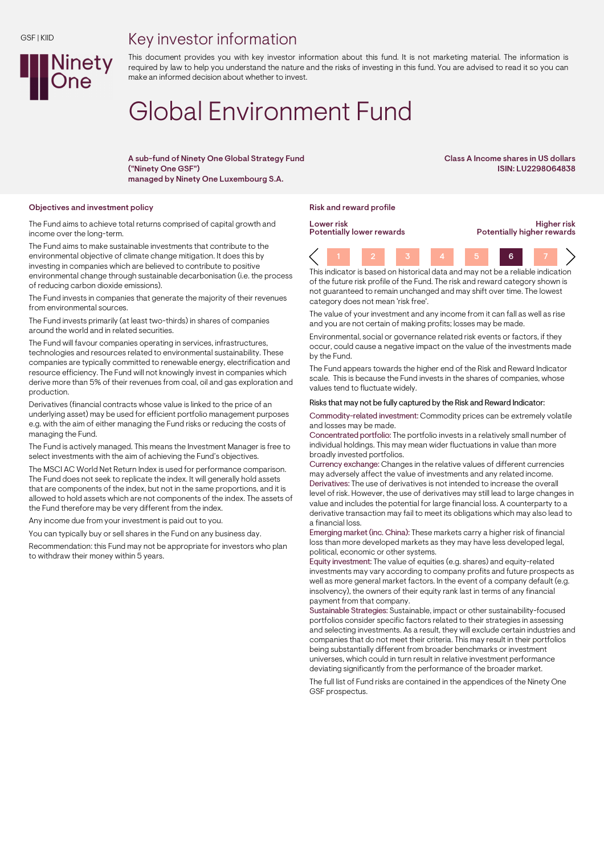## Key investor information



This document provides you with key investor information about this fund. It is not marketing material. The information is required by law to help you understand the nature and the risks of investing in this fund. You are advised to read it so you can make an informed decision about whether to invest.

# Global Environment Fund

A sub-fund of Ninety One Global Strategy Fund ("Ninety One GSF") managed by Ninety One Luxembourg S.A.

Class A Income shares in US dollars ISIN: LU2298064838

#### Objectives and investment policy and reward profile reward profile reward profile

The Fund aims to achieve total returns comprised of capital growth and income over the long-term.

The Fund aims to make sustainable investments that contribute to the environmental objective of climate change mitigation. It does this by investing in companies which are believed to contribute to positive environmental change through sustainable decarbonisation (i.e. the process of reducing carbon dioxide emissions).

The Fund invests in companies that generate the majority of their revenues from environmental sources.

The Fund invests primarily (at least two-thirds) in shares of companies around the world and in related securities.

The Fund will favour companies operating in services, infrastructures, technologies and resources related to environmental sustainability. These companies are typically committed to renewable energy, electrification and resource efficiency. The Fund will not knowingly invest in companies which derive more than 5% of their revenues from coal, oil and gas exploration and production.

Derivatives (financial contracts whose value is linked to the price of an underlying asset) may be used for efficient portfolio management purposes e.g. with the aim of either managing the Fund risks or reducing the costs of managing the Fund.

The Fund is actively managed. This means the Investment Manager is free to select investments with the aim of achieving the Fund's objectives.

The MSCI AC World Net Return Index is used for performance comparison. The Fund does not seek to replicate the index. It will generally hold assets that are components of the index, but not in the same proportions, and it is allowed to hold assets which are not components of the index. The assets of the Fund therefore may be very different from the index.

Any income due from your investment is paid out to you.

You can typically buy or sell shares in the Fund on any business day.

Recommendation: this Fund may not be appropriate for investors who plan to withdraw their money within 5 years.

Lower risk Potentially lower rewards

Higher risk Potentially higher rewards

1 2 3 4 5 6 7 This indicator is based on historical data and may not be a reliable indication

of the future risk profile of the Fund. The risk and reward category shown is not guaranteed to remain unchanged and may shift over time. The lowest category does not mean 'risk free'.

The value of your investment and any income from it can fall as well as rise and you are not certain of making profits; losses may be made.

Environmental, social or governance related risk events or factors, if they occur, could cause a negative impact on the value of the investments made by the Fund.

The Fund appears towards the higher end of the Risk and Reward Indicator scale. This is because the Fund invests in the shares of companies, whose values tend to fluctuate widely.

#### Risks that may not be fully captured by the Risk and Reward Indicator:

Commodity-related investment: Commodity prices can be extremely volatile and losses may be made.

Concentrated portfolio: The portfolio invests in a relatively small number of individual holdings. This may mean wider fluctuations in value than more broadly invested portfolios.

Currency exchange: Changes in the relative values of different currencies may adversely affect the value of investments and any related income. Derivatives: The use of derivatives is not intended to increase the overall level of risk. However, the use of derivatives may still lead to large changes in value and includes the potential for large financial loss. A counterparty to a derivative transaction may fail to meet its obligations which may also lead to a financial loss.

Emerging market (inc. China): These markets carry a higher risk of financial loss than more developed markets as they may have less developed legal, political, economic or other systems.

Equity investment: The value of equities (e.g. shares) and equity-related investments may vary according to company profits and future prospects as well as more general market factors. In the event of a company default (e.g. insolvency), the owners of their equity rank last in terms of any financial payment from that company.

Sustainable Strategies: Sustainable, impact or other sustainability-focused portfolios consider specific factors related to their strategies in assessing and selecting investments. As a result, they will exclude certain industries and companies that do not meet their criteria. This may result in their portfolios being substantially different from broader benchmarks or investment universes, which could in turn result in relative investment performance deviating significantly from the performance of the broader market.

The full list of Fund risks are contained in the appendices of the Ninety One GSF prospectus.